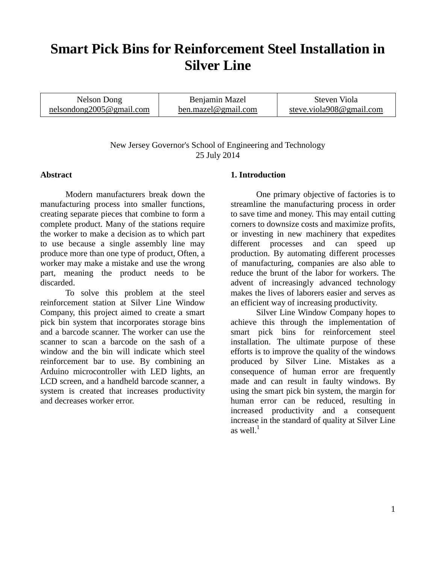# **Smart Pick Bins for Reinforcement Steel Installation in Silver Line**

| Nelson Dong              | Benjamin Mazel      | Steven Viola             |
|--------------------------|---------------------|--------------------------|
| nelsondong2005@gmail.com | ben.mazel@gmail.com | steve.viola908@gmail.com |

New Jersey Governor's School of Engineering and Technology 25 July 2014

#### **Abstract**

Modern manufacturers break down the manufacturing process into smaller functions, creating separate pieces that combine to form a complete product. Many of the stations require the worker to make a decision as to which part to use because a single assembly line may produce more than one type of product, Often, a worker may make a mistake and use the wrong part, meaning the product needs to be discarded.

To solve this problem at the steel reinforcement station at Silver Line Window Company, this project aimed to create a smart pick bin system that incorporates storage bins and a barcode scanner. The worker can use the scanner to scan a barcode on the sash of a window and the bin will indicate which steel reinforcement bar to use. By combining an Arduino microcontroller with LED lights, an LCD screen, and a handheld barcode scanner, a system is created that increases productivity and decreases worker error.

#### **1. Introduction**

One primary objective of factories is to streamline the manufacturing process in order to save time and money. This may entail cutting corners to downsize costs and maximize profits, or investing in new machinery that expedites different processes and can speed up production. By automating different processes of manufacturing, companies are also able to reduce the brunt of the labor for workers. The advent of increasingly advanced technology makes the lives of laborers easier and serves as an efficient way of increasing productivity.

Silver Line Window Company hopes to achieve this through the implementation of smart pick bins for reinforcement steel installation. The ultimate purpose of these efforts is to improve the quality of the windows produced by Silver Line. Mistakes as a consequence of human error are frequently made and can result in faulty windows. By using the smart pick bin system, the margin for human error can be reduced, resulting in increased productivity and a consequent increase in the standard of quality at Silver Line as well. $^1$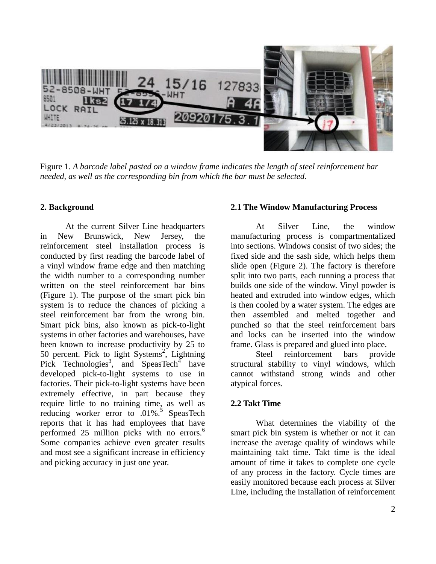

Figure 1. *A barcode label pasted on a window frame indicates the length of steel reinforcement bar needed, as well as the corresponding bin from which the bar must be selected.* 

#### **2. Background**

At the current Silver Line headquarters in New Brunswick, New Jersey, the reinforcement steel installation process is conducted by first reading the barcode label of a vinyl window frame edge and then matching the width number to a corresponding number written on the steel reinforcement bar bins (Figure 1). The purpose of the smart pick bin system is to reduce the chances of picking a steel reinforcement bar from the wrong bin. Smart pick bins, also known as pick-to-light systems in other factories and warehouses, have been known to increase productivity by 25 to 50 percent. Pick to light Systems<sup>2</sup>, Lightning Pick Technologies<sup>3</sup>, and SpeasTech<sup>4</sup> have developed pick-to-light systems to use in factories. Their pick-to-light systems have been extremely effective, in part because they require little to no training time, as well as reducing worker error to .01%.<sup>5</sup> SpeasTech reports that it has had employees that have performed 25 million picks with no errors.<sup>6</sup> Some companies achieve even greater results and most see a significant increase in efficiency and picking accuracy in just one year.

## **2.1 The Window Manufacturing Process**

At Silver Line, the window manufacturing process is compartmentalized into sections. Windows consist of two sides; the fixed side and the sash side, which helps them slide open (Figure 2). The factory is therefore split into two parts, each running a process that builds one side of the window. Vinyl powder is heated and extruded into window edges, which is then cooled by a water system. The edges are then assembled and melted together and punched so that the steel reinforcement bars and locks can be inserted into the window frame. Glass is prepared and glued into place.

Steel reinforcement bars provide structural stability to vinyl windows, which cannot withstand strong winds and other atypical forces.

## **2.2 Takt Time**

What determines the viability of the smart pick bin system is whether or not it can increase the average quality of windows while maintaining takt time. Takt time is the ideal amount of time it takes to complete one cycle of any process in the factory. Cycle times are easily monitored because each process at Silver Line, including the installation of reinforcement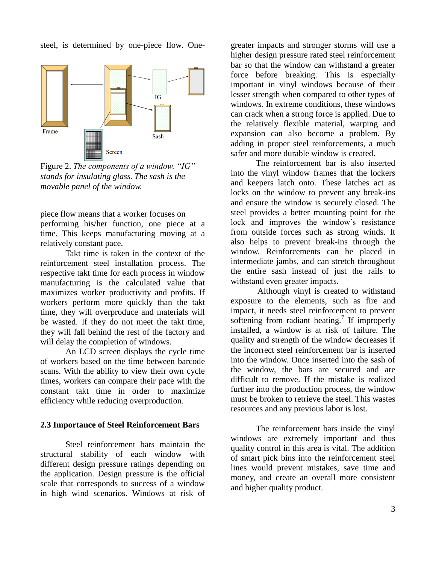steel, is determined by one-piece flow. One-



Figure 2. *The components of a window. "IG" stands for insulating glass. The sash is the movable panel of the window.* 

piece flow means that a worker focuses on performing his/her function, one piece at a time. This keeps manufacturing moving at a relatively constant pace.

Takt time is taken in the context of the reinforcement steel installation process. The respective takt time for each process in window manufacturing is the calculated value that maximizes worker productivity and profits. If workers perform more quickly than the takt time, they will overproduce and materials will be wasted. If they do not meet the takt time, they will fall behind the rest of the factory and will delay the completion of windows.

An LCD screen displays the cycle time of workers based on the time between barcode scans. With the ability to view their own cycle times, workers can compare their pace with the constant takt time in order to maximize efficiency while reducing overproduction.

## **2.3 Importance of Steel Reinforcement Bars**

Steel reinforcement bars maintain the structural stability of each window with different design pressure ratings depending on the application. Design pressure is the official scale that corresponds to success of a window in high wind scenarios. Windows at risk of greater impacts and stronger storms will use a higher design pressure rated steel reinforcement bar so that the window can withstand a greater force before breaking. This is especially important in vinyl windows because of their lesser strength when compared to other types of windows. In extreme conditions, these windows can crack when a strong force is applied. Due to the relatively flexible material, warping and expansion can also become a problem. By adding in proper steel reinforcements, a much safer and more durable window is created.

The reinforcement bar is also inserted into the vinyl window frames that the lockers and keepers latch onto. These latches act as locks on the window to prevent any break-ins and ensure the window is securely closed. The steel provides a better mounting point for the lock and improves the window's resistance from outside forces such as strong winds. It also helps to prevent break-ins through the window. Reinforcements can be placed in intermediate jambs, and can stretch throughout the entire sash instead of just the rails to withstand even greater impacts.

Although vinyl is created to withstand exposure to the elements, such as fire and impact, it needs steel reinforcement to prevent softening from radiant heating.<sup>7</sup> If improperly installed, a window is at risk of failure. The quality and strength of the window decreases if the incorrect steel reinforcement bar is inserted into the window. Once inserted into the sash of the window, the bars are secured and are difficult to remove. If the mistake is realized further into the production process, the window must be broken to retrieve the steel. This wastes resources and any previous labor is lost.

The reinforcement bars inside the vinyl windows are extremely important and thus quality control in this area is vital. The addition of smart pick bins into the reinforcement steel lines would prevent mistakes, save time and money, and create an overall more consistent and higher quality product.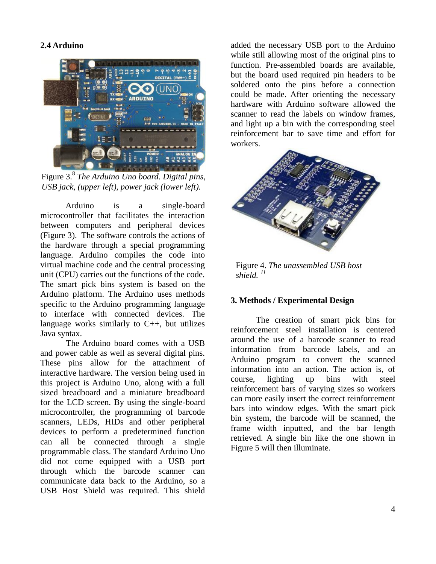# **2.4 Arduino**



Figure 3.<sup>8</sup> *The Arduino Uno board. Digital pins, USB jack, (upper left), power jack (lower left).* 

Arduino is a single-board microcontroller that facilitates the interaction between computers and peripheral devices (Figure 3). The software controls the actions of the hardware through a special programming language. Arduino compiles the code into virtual machine code and the central processing unit (CPU) carries out the functions of the code. The smart pick bins system is based on the Arduino platform. The Arduino uses methods specific to the Arduino programming language to interface with connected devices. The language works similarly to  $C_{++}$ , but utilizes Java syntax.

The Arduino board comes with a USB and power cable as well as several digital pins. These pins allow for the attachment of interactive hardware. The version being used in this project is Arduino Uno, along with a full sized breadboard and a miniature breadboard for the LCD screen. By using the single-board microcontroller, the programming of barcode scanners, LEDs, HIDs and other peripheral devices to perform a predetermined function can all be connected through a single programmable class. The standard Arduino Uno did not come equipped with a USB port through which the barcode scanner can communicate data back to the Arduino, so a USB Host Shield was required. This shield

added the necessary USB port to the Arduino while still allowing most of the original pins to function. Pre-assembled boards are available, but the board used required pin headers to be soldered onto the pins before a connection could be made. After orienting the necessary hardware with Arduino software allowed the scanner to read the labels on window frames, and light up a bin with the corresponding steel reinforcement bar to save time and effort for workers.



Figure 4. *The unassembled USB host shield. <sup>11</sup>*

## **3. Methods / Experimental Design**

The creation of smart pick bins for reinforcement steel installation is centered around the use of a barcode scanner to read information from barcode labels, and an Arduino program to convert the scanned information into an action. The action is, of course, lighting up bins with steel reinforcement bars of varying sizes so workers can more easily insert the correct reinforcement bars into window edges. With the smart pick bin system, the barcode will be scanned, the frame width inputted, and the bar length retrieved. A single bin like the one shown in Figure 5 will then illuminate.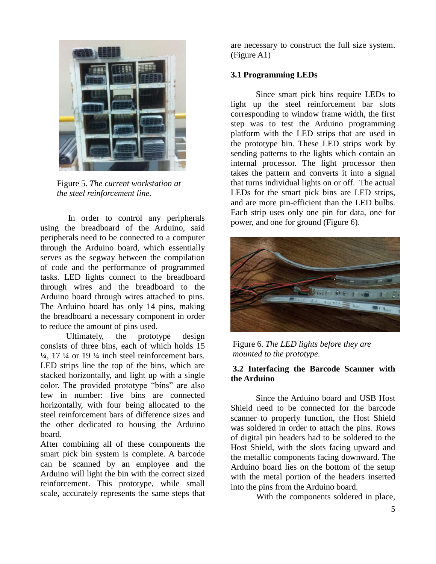

Figure 5. *The current workstation at the steel reinforcement line.*

In order to control any peripherals using the breadboard of the Arduino, said peripherals need to be connected to a computer through the Arduino board, which essentially serves as the segway between the compilation of code and the performance of programmed tasks. LED lights connect to the breadboard through wires and the breadboard to the Arduino board through wires attached to pins. The Arduino board has only 14 pins, making the breadboard a necessary component in order to reduce the amount of pins used.

Ultimately, the prototype design consists of three bins, each of which holds 15  $\frac{1}{4}$ , 17  $\frac{1}{4}$  or 19  $\frac{1}{4}$  inch steel reinforcement bars. LED strips line the top of the bins, which are stacked horizontally, and light up with a single color. The provided prototype "bins" are also few in number: five bins are connected horizontally, with four being allocated to the steel reinforcement bars of difference sizes and the other dedicated to housing the Arduino board.

After combining all of these components the smart pick bin system is complete. A barcode can be scanned by an employee and the Arduino will light the bin with the correct sized reinforcement. This prototype, while small scale, accurately represents the same steps that

are necessary to construct the full size system. (Figure A1)

# **3.1 Programming LEDs**

Since smart pick bins require LEDs to light up the steel reinforcement bar slots corresponding to window frame width, the first step was to test the Arduino programming platform with the LED strips that are used in the prototype bin. These LED strips work by sending patterns to the lights which contain an internal processor. The light processor then takes the pattern and converts it into a signal that turns individual lights on or off. The actual LEDs for the smart pick bins are LED strips, and are more pin-efficient than the LED bulbs. Each strip uses only one pin for data, one for power, and one for ground (Figure 6).



Figure 6*. The LED lights before they are mounted to the prototype.*

## **3.2 Interfacing the Barcode Scanner with the Arduino**

Since the Arduino board and USB Host Shield need to be connected for the barcode scanner to properly function, the Host Shield was soldered in order to attach the pins. Rows of digital pin headers had to be soldered to the Host Shield, with the slots facing upward and the metallic components facing downward. The Arduino board lies on the bottom of the setup with the metal portion of the headers inserted into the pins from the Arduino board.

With the components soldered in place,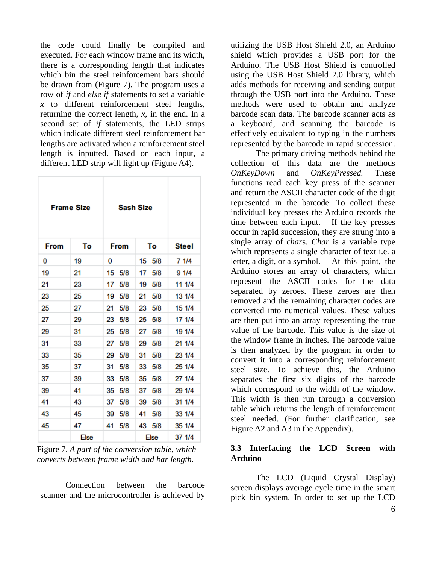the code could finally be compiled and executed. For each window frame and its width, there is a corresponding length that indicates which bin the steel reinforcement bars should be drawn from (Figure 7). The program uses a row of *if* and *else if* statements to set a variable *x* to different reinforcement steel lengths, returning the correct length, *x*, in the end. In a second set of *if* statements, the LED strips which indicate different steel reinforcement bar lengths are activated when a reinforcement steel length is inputted. Based on each input, a different LED strip will light up (Figure A4).

| <b>Frame Size</b> |             | <b>Sash Size</b> |             |              |
|-------------------|-------------|------------------|-------------|--------------|
| <b>From</b>       | То          | <b>From</b>      | То          | <b>Steel</b> |
| 0                 | 19          | 0                | 15<br>5/8   | 7 1/4        |
| 19                | 21          | 15<br>5/8        | 17<br>5/8   | 9 1/4        |
| 21                | 23          | 17<br>5/8        | 5/8<br>19   | 11 1/4       |
| 23                | 25          | 19<br>5/8        | 21<br>5/8   | 13 1/4       |
| 25                | 27          | 21<br>5/8        | 23<br>5/8   | 15 1/4       |
| 27                | 29          | 5/8<br>23        | 25<br>5/8   | 17 1/4       |
| 29                | 31          | 5/8<br>25        | 5/8<br>27   | 19 1/4       |
| 31                | 33          | 27<br>5/8        | 5/8<br>29   | 21 1/4       |
| 33                | 35          | 29<br>5/8        | 31<br>5/8   | 23 1/4       |
| 35                | 37          | 5/8<br>31        | 33<br>5/8   | 25 1/4       |
| 37                | 39          | 5/8<br>33        | 5/8<br>35   | 27 1/4       |
| 39                | 41          | 35<br>5/8        | 37<br>5/8   | 29 1/4       |
| 41                | 43          | 37<br>5/8        | 5/8<br>39   | 31 1/4       |
| 43                | 45          | 39<br>5/8        | 5/8<br>41   | 33 1/4       |
| 45                | 47          | 5/8<br>41        | 43<br>5/8   | 35 1/4       |
|                   | <b>Else</b> |                  | <b>Else</b> | 37 1/4       |

Figure 7. *A part of the conversion table, which converts between frame width and bar length.*

Connection between the barcode scanner and the microcontroller is achieved by utilizing the USB Host Shield 2.0, an Arduino shield which provides a USB port for the Arduino. The USB Host Shield is controlled using the USB Host Shield 2.0 library, which adds methods for receiving and sending output through the USB port into the Arduino. These methods were used to obtain and analyze barcode scan data. The barcode scanner acts as a keyboard, and scanning the barcode is effectively equivalent to typing in the numbers represented by the barcode in rapid succession.

The primary driving methods behind the collection of this data are the methods *OnKeyDown* and *OnKeyPressed.* These functions read each key press of the scanner and return the ASCII character code of the digit represented in the barcode. To collect these individual key presses the Arduino records the time between each input. If the key presses occur in rapid succession, they are strung into a single array of *char*s. *Char* is a variable type which represents a single character of text i.e. a letter, a digit, or a symbol. At this point, the Arduino stores an array of characters*,* which represent the ASCII codes for the data separated by zeroes. These zeroes are then removed and the remaining character codes are converted into numerical values. These values are then put into an array representing the true value of the barcode. This value is the size of the window frame in inches. The barcode value is then analyzed by the program in order to convert it into a corresponding reinforcement steel size. To achieve this, the Arduino separates the first six digits of the barcode which correspond to the width of the window. This width is then run through a conversion table which returns the length of reinforcement steel needed. (For further clarification, see Figure A2 and A3 in the Appendix).

# **3.3 Interfacing the LCD Screen with Arduino**

The LCD (Liquid Crystal Display) screen displays average cycle time in the smart pick bin system. In order to set up the LCD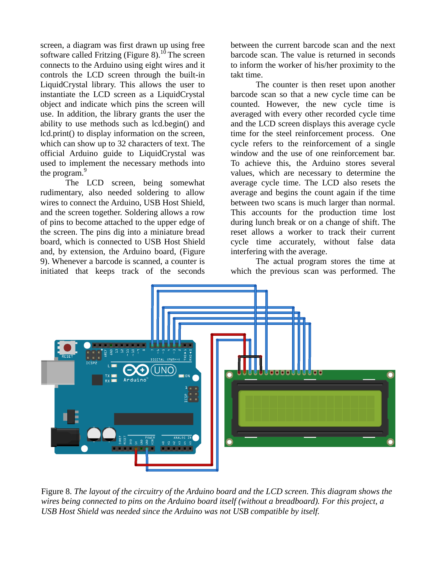screen, a diagram was first drawn up using free software called Fritzing (Figure  $8$ ).<sup>10</sup> The screen connects to the Arduino using eight wires and it controls the LCD screen through the built-in LiquidCrystal library. This allows the user to instantiate the LCD screen as a LiquidCrystal object and indicate which pins the screen will use. In addition, the library grants the user the ability to use methods such as lcd.begin() and lcd.print() to display information on the screen, which can show up to 32 characters of text. The official Arduino guide to LiquidCrystal was used to implement the necessary methods into the program.<sup>9</sup>

The LCD screen, being somewhat rudimentary, also needed soldering to allow wires to connect the Arduino, USB Host Shield, and the screen together. Soldering allows a row of pins to become attached to the upper edge of the screen. The pins dig into a miniature bread board, which is connected to USB Host Shield and, by extension, the Arduino board, (Figure 9). Whenever a barcode is scanned, a counter is initiated that keeps track of the seconds

between the current barcode scan and the next barcode scan. The value is returned in seconds to inform the worker of his/her proximity to the takt time.

The counter is then reset upon another barcode scan so that a new cycle time can be counted. However, the new cycle time is averaged with every other recorded cycle time and the LCD screen displays this average cycle time for the steel reinforcement process. One cycle refers to the reinforcement of a single window and the use of one reinforcement bar. To achieve this, the Arduino stores several values, which are necessary to determine the average cycle time. The LCD also resets the average and begins the count again if the time between two scans is much larger than normal. This accounts for the production time lost during lunch break or on a change of shift. The reset allows a worker to track their current cycle time accurately, without false data interfering with the average.

The actual program stores the time at which the previous scan was performed. The



Figure 8. *The layout of the circuitry of the Arduino board and the LCD screen. This diagram shows the wires being connected to pins on the Arduino board itself (without a breadboard). For this project, a USB Host Shield was needed since the Arduino was not USB compatible by itself.*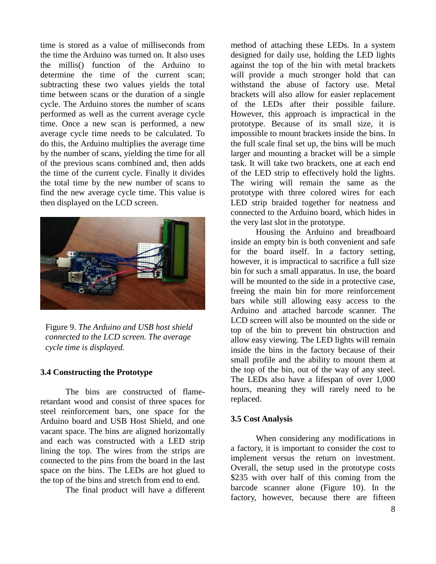time is stored as a value of milliseconds from the time the Arduino was turned on. It also uses the millis() function of the Arduino to determine the time of the current scan; subtracting these two values yields the total time between scans or the duration of a single cycle. The Arduino stores the number of scans performed as well as the current average cycle time. Once a new scan is performed, a new average cycle time needs to be calculated. To do this, the Arduino multiplies the average time by the number of scans, yielding the time for all of the previous scans combined and, then adds the time of the current cycle. Finally it divides the total time by the new number of scans to find the new average cycle time. This value is then displayed on the LCD screen.



Figure 9. *The Arduino and USB host shield connected to the LCD screen. The average cycle time is displayed.*

#### **3.4 Constructing the Prototype**

The bins are constructed of flameretardant wood and consist of three spaces for steel reinforcement bars, one space for the Arduino board and USB Host Shield, and one vacant space. The bins are aligned horizontally and each was constructed with a LED strip lining the top. The wires from the strips are connected to the pins from the board in the last space on the bins. The LEDs are hot glued to the top of the bins and stretch from end to end.

The final product will have a different

method of attaching these LEDs. In a system designed for daily use, holding the LED lights against the top of the bin with metal brackets will provide a much stronger hold that can withstand the abuse of factory use. Metal brackets will also allow for easier replacement of the LEDs after their possible failure. However, this approach is impractical in the prototype. Because of its small size, it is impossible to mount brackets inside the bins. In the full scale final set up, the bins will be much larger and mounting a bracket will be a simple task. It will take two brackets, one at each end of the LED strip to effectively hold the lights. The wiring will remain the same as the prototype with three colored wires for each LED strip braided together for neatness and connected to the Arduino board, which hides in the very last slot in the prototype.

Housing the Arduino and breadboard inside an empty bin is both convenient and safe for the board itself. In a factory setting, however, it is impractical to sacrifice a full size bin for such a small apparatus. In use, the board will be mounted to the side in a protective case, freeing the main bin for more reinforcement bars while still allowing easy access to the Arduino and attached barcode scanner. The LCD screen will also be mounted on the side or top of the bin to prevent bin obstruction and allow easy viewing. The LED lights will remain inside the bins in the factory because of their small profile and the ability to mount them at the top of the bin, out of the way of any steel. The LEDs also have a lifespan of over 1,000 hours, meaning they will rarely need to be replaced.

#### **3.5 Cost Analysis**

When considering any modifications in a factory, it is important to consider the cost to implement versus the return on investment. Overall, the setup used in the prototype costs \$235 with over half of this coming from the barcode scanner alone (Figure 10). In the factory, however, because there are fifteen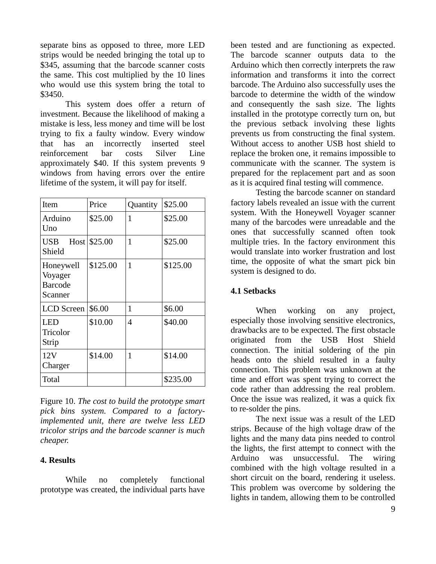separate bins as opposed to three, more LED strips would be needed bringing the total up to \$345, assuming that the barcode scanner costs the same. This cost multiplied by the 10 lines who would use this system bring the total to \$3450.

This system does offer a return of investment. Because the likelihood of making a mistake is less, less money and time will be lost trying to fix a faulty window. Every window that has an incorrectly inserted steel reinforcement bar costs Silver Line approximately \$40. If this system prevents 9 windows from having errors over the entire lifetime of the system, it will pay for itself.

| Item                                              | Price        | Quantity | \$25.00  |
|---------------------------------------------------|--------------|----------|----------|
| Arduino<br>Uno                                    | \$25.00      | 1        | \$25.00  |
| <b>USB</b><br>Shield                              | Host \$25.00 | 1        | \$25.00  |
| Honeywell<br>Voyager<br><b>Barcode</b><br>Scanner | \$125.00     | 1        | \$125.00 |
| LCD Screen                                        | \$6.00       | 1        | \$6.00   |
| LED<br>Tricolor<br>Strip                          | \$10.00      | 4        | \$40.00  |
| 12V<br>Charger                                    | \$14.00      | 1        | \$14.00  |
| Total                                             |              |          | \$235.00 |

Figure 10. *The cost to build the prototype smart pick bins system. Compared to a factoryimplemented unit, there are twelve less LED tricolor strips and the barcode scanner is much cheaper.*

## **4. Results**

While no completely functional prototype was created, the individual parts have been tested and are functioning as expected. The barcode scanner outputs data to the Arduino which then correctly interprets the raw information and transforms it into the correct barcode. The Arduino also successfully uses the barcode to determine the width of the window and consequently the sash size. The lights installed in the prototype correctly turn on, but the previous setback involving these lights prevents us from constructing the final system. Without access to another USB host shield to replace the broken one, it remains impossible to communicate with the scanner. The system is prepared for the replacement part and as soon as it is acquired final testing will commence.

Testing the barcode scanner on standard factory labels revealed an issue with the current system. With the Honeywell Voyager scanner many of the barcodes were unreadable and the ones that successfully scanned often took multiple tries. In the factory environment this would translate into worker frustration and lost time, the opposite of what the smart pick bin system is designed to do.

#### **4.1 Setbacks**

When working on any project, especially those involving sensitive electronics, drawbacks are to be expected. The first obstacle originated from the USB Host Shield connection. The initial soldering of the pin heads onto the shield resulted in a faulty connection. This problem was unknown at the time and effort was spent trying to correct the code rather than addressing the real problem. Once the issue was realized, it was a quick fix to re-solder the pins.

The next issue was a result of the LED strips. Because of the high voltage draw of the lights and the many data pins needed to control the lights, the first attempt to connect with the Arduino was unsuccessful. The wiring combined with the high voltage resulted in a short circuit on the board, rendering it useless. This problem was overcome by soldering the lights in tandem, allowing them to be controlled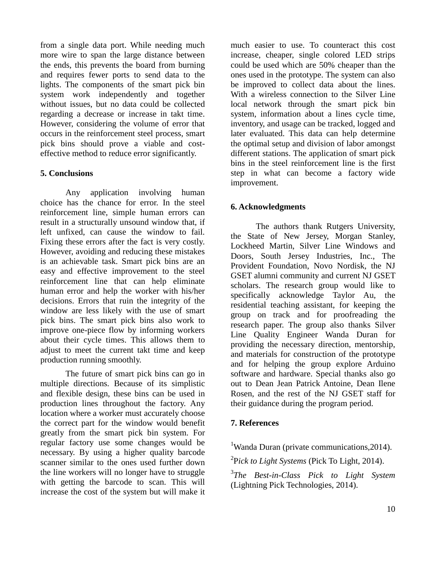from a single data port. While needing much more wire to span the large distance between the ends, this prevents the board from burning and requires fewer ports to send data to the lights. The components of the smart pick bin system work independently and together without issues, but no data could be collected regarding a decrease or increase in takt time. However, considering the volume of error that occurs in the reinforcement steel process, smart pick bins should prove a viable and costeffective method to reduce error significantly.

## **5. Conclusions**

Any application involving human choice has the chance for error. In the steel reinforcement line, simple human errors can result in a structurally unsound window that, if left unfixed, can cause the window to fail. Fixing these errors after the fact is very costly. However, avoiding and reducing these mistakes is an achievable task. Smart pick bins are an easy and effective improvement to the steel reinforcement line that can help eliminate human error and help the worker with his/her decisions. Errors that ruin the integrity of the window are less likely with the use of smart pick bins. The smart pick bins also work to improve one-piece flow by informing workers about their cycle times. This allows them to adjust to meet the current takt time and keep production running smoothly.

The future of smart pick bins can go in multiple directions. Because of its simplistic and flexible design, these bins can be used in production lines throughout the factory. Any location where a worker must accurately choose the correct part for the window would benefit greatly from the smart pick bin system. For regular factory use some changes would be necessary. By using a higher quality barcode scanner similar to the ones used further down the line workers will no longer have to struggle with getting the barcode to scan. This will increase the cost of the system but will make it much easier to use. To counteract this cost increase, cheaper, single colored LED strips could be used which are 50% cheaper than the ones used in the prototype. The system can also be improved to collect data about the lines. With a wireless connection to the Silver Line local network through the smart pick bin system, information about a lines cycle time, inventory, and usage can be tracked, logged and later evaluated. This data can help determine the optimal setup and division of labor amongst different stations. The application of smart pick bins in the steel reinforcement line is the first step in what can become a factory wide improvement.

# **6. Acknowledgments**

The authors thank Rutgers University, the State of New Jersey, Morgan Stanley, Lockheed Martin, Silver Line Windows and Doors, South Jersey Industries, Inc., The Provident Foundation, Novo Nordisk, the NJ GSET alumni community and current NJ GSET scholars. The research group would like to specifically acknowledge Taylor Au, the residential teaching assistant, for keeping the group on track and for proofreading the research paper. The group also thanks Silver Line Quality Engineer Wanda Duran for providing the necessary direction, mentorship, and materials for construction of the prototype and for helping the group explore Arduino software and hardware. Special thanks also go out to Dean Jean Patrick Antoine, Dean Ilene Rosen, and the rest of the NJ GSET staff for their guidance during the program period.

# **7. References**

<sup>1</sup>Wanda Duran (private communications, 2014).

2 P*ick to Light Systems* (Pick To Light, 2014).

3 *The Best-in-Class Pick to Light System* (Lightning Pick Technologies, 2014).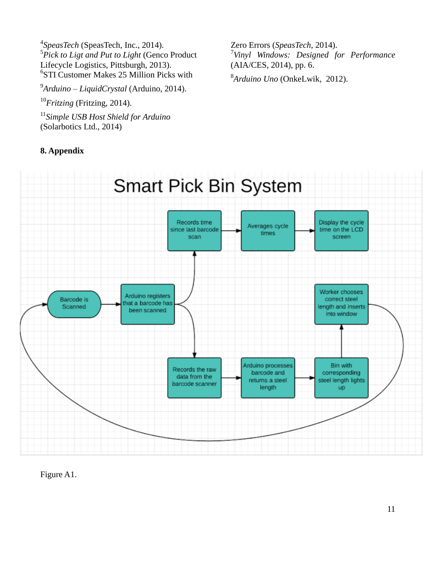*SpeasTech* (SpeasTech, Inc., 2014). *Pick to Ligt and Put to Light* (Genco Product Lifecycle Logistics, Pittsburgh, 2013). STI Customer Makes 25 Million Picks with

9 *Arduino – LiquidCrystal* (Arduino, 2014).

<sup>10</sup>*Fritzing* (Fritzing, 2014).

11 *Simple USB Host Shield for Arduino* (Solarbotics Ltd., 2014)

# **8. Appendix**

Zero Errors (*SpeasTech*, 2014). 7 *Vinyl Windows: Designed for Performance* (AIA/CES, 2014), pp. 6.

8 *Arduino Uno* (OnkeLwik, 2012).



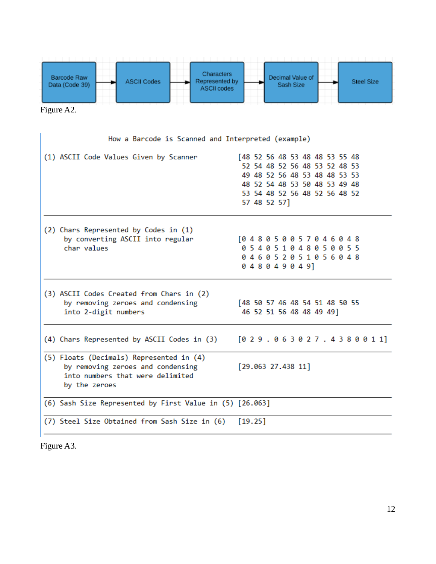

Figure A2.

| How a Barcode is Scanned and Interpreted (example)                                                                                 |                                                                                                                                                                                    |
|------------------------------------------------------------------------------------------------------------------------------------|------------------------------------------------------------------------------------------------------------------------------------------------------------------------------------|
| (1) ASCII Code Values Given by Scanner                                                                                             | [48 52 56 48 53 48 48 53 55 48<br>52 54 48 52 56 48 53 52 48 53<br>49 48 52 56 48 53 48 48 53 53<br>48 52 54 48 53 50 48 53 49 48<br>53 54 48 52 56 48 52 56 48 52<br>57 48 52 57] |
| (2) Chars Represented by Codes in (1)<br>by converting ASCII into regular<br>char values                                           | 048050057046048<br>054051048050055<br>046052051056048<br>048049049]                                                                                                                |
| (3) ASCII Codes Created from Chars in (2)<br>by removing zeroes and condensing<br>into 2-digit numbers                             | [48 50 57 46 48 54 51 48 50 55<br>46 52 51 56 48 48 49 49]                                                                                                                         |
| (4) Chars Represented by ASCII Codes in (3)                                                                                        | [0 2 9.0 6 3 0 2 7.4 3 8 0 0 1 1]                                                                                                                                                  |
| (5) Floats (Decimals) Represented in (4)<br>by removing zeroes and condensing<br>into numbers that were delimited<br>by the zeroes | [29.063 27.438 11]                                                                                                                                                                 |
| (6) Sash Size Represented by First Value in (5) [26.063]                                                                           |                                                                                                                                                                                    |
| (7) Steel Size Obtained from Sash Size in (6)                                                                                      | [19.25]                                                                                                                                                                            |

Figure A3.